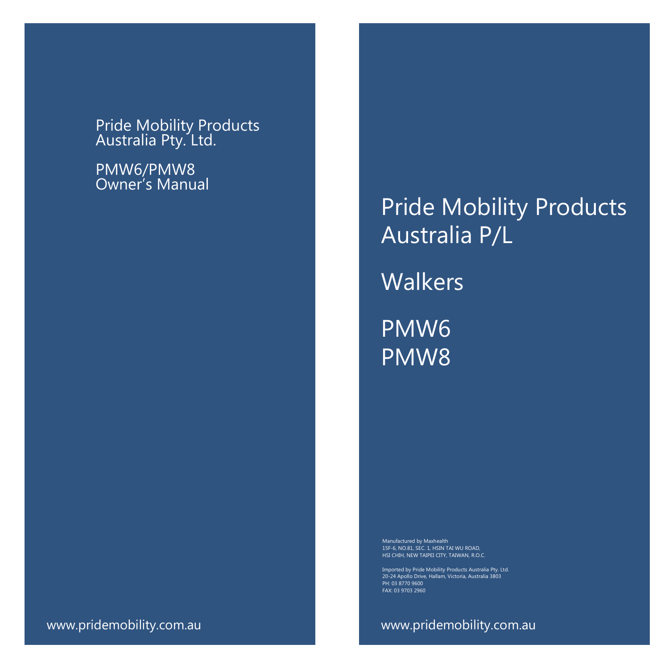Pride Mobility Products Australia Pty. Ltd.

PMW6/PMW8 Owner's Manual

Pride Mobility Products Australia P/L **Walkers** PMW6 PMW8

Manufactured by Maxhealth 15F-6, NO.81, SEC. 1, HSIN TAI WU ROAD, HSI CHIH, NEW TAIPEI CITY, TAIWAN, R.O.C.

20-24 Apollo Drive, Hallam, Victoria, Australia 3803 PH: 03 8770 9600 FAX: 03 9703 2960

www.pridemobility.com.au www.pridemobility.com.au www.pridemobility.com.au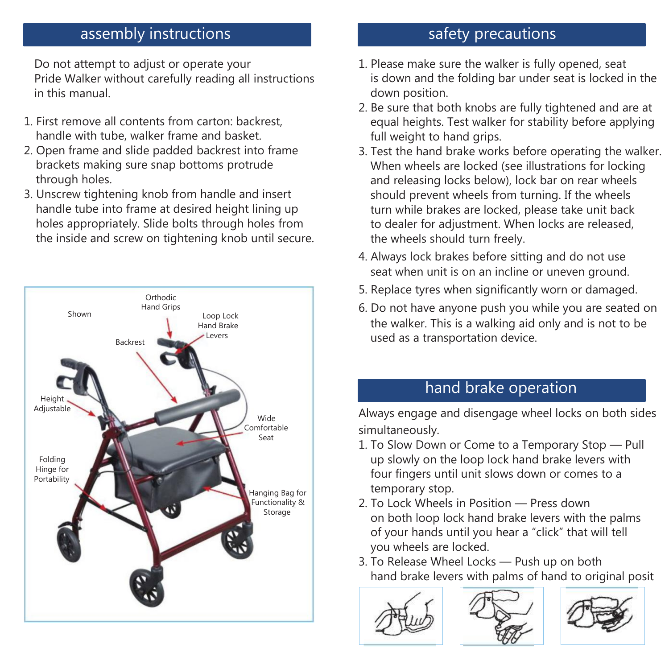## assembly instructions

Do not attempt to adjust or operate your Pride Walker without carefully reading all instructions in this manual.

- 1. First remove all contents from carton: backrest, handle with tube, walker frame and basket.
- 2. Open frame and slide padded backrest into frame brackets making sure snap bottoms protrude through holes.
- 3. Unscrew tightening knob from handle and insert handle tube into frame at desired height lining up holes appropriately. Slide bolts through holes from the inside and screw on tightening knob until secure.



## safety precautions

- 1. Please make sure the walker is fully opened, seat is down and the folding bar under seat is locked in the down position.
- 2. Be sure that both knobs are fully tightened and are at equal heights. Test walker for stability before applying full weight to hand grips.
- 3. Test the hand brake works before operating the walker. When wheels are locked (see illustrations for locking and releasing locks below), lock bar on rear wheels should prevent wheels from turning. If the wheels turn while brakes are locked, please take unit back to dealer for adjustment. When locks are released, the wheels should turn freely.
- 4. Always lock brakes before sitting and do not use seat when unit is on an incline or uneven ground.
- 5. Replace tyres when significantly worn or damaged.
- 6. Do not have anyone push you while you are seated on the walker. This is a walking aid only and is not to be used as a transportation device.

## hand brake operation

Always engage and disengage wheel locks on both sides simultaneously.

- 1. To Slow Down or Come to a Temporary Stop Pull up slowly on the loop lock hand brake levers with four fingers until unit slows down or comes to a temporary stop.
- 2. To Lock Wheels in Position Press down on both loop lock hand brake levers with the palms of your hands until you hear a "click" that will tell you wheels are locked.
- 3. To Release Wheel Locks Push up on both hand brake levers with palms of hand to original posit